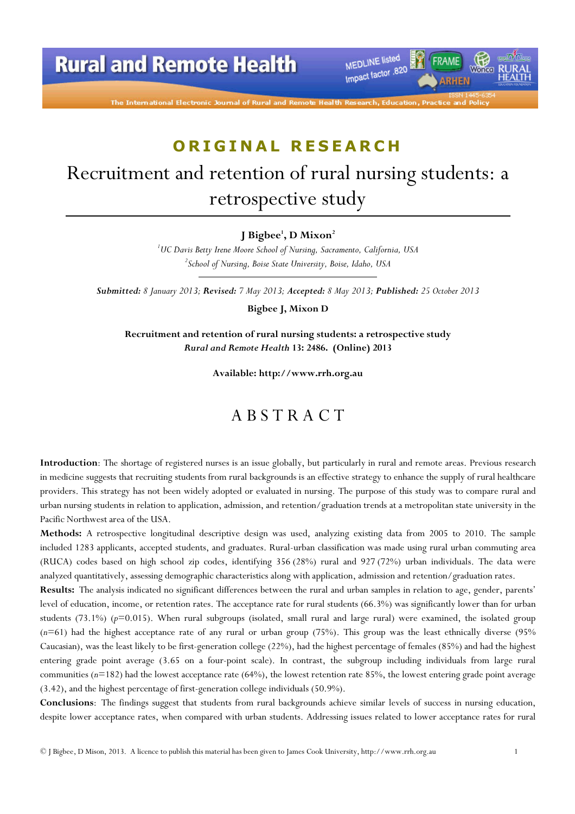# **Rural and Remote Health**

MEDLINE listed FRAME Impact factor .820 **ARHEN** 

## ORIGINAL RESEARCH

# Recruitment and retention of rural nursing students: a retrospective study

#### J Bigbee<sup>1</sup>, D Mixon<sup>2</sup>

<sup>1</sup>UC Davis Betty Irene Moore School of Nursing, Sacramento, California, USA  $^2$ School of Nursing, Boise State University, Boise, Idaho, USA

Submitted: 8 January 2013; Revised: 7 May 2013; Accepted: 8 May 2013; Published: 25 October 2013

Bigbee J, Mixon D

Recruitment and retention of rural nursing students: a retrospective study Rural and Remote Health 13: 2486. (Online) 2013

Available: http://www.rrh.org.au

#### A B S T R A C T

Introduction: The shortage of registered nurses is an issue globally, but particularly in rural and remote areas. Previous research in medicine suggests that recruiting students from rural backgrounds is an effective strategy to enhance the supply of rural healthcare providers. This strategy has not been widely adopted or evaluated in nursing. The purpose of this study was to compare rural and urban nursing students in relation to application, admission, and retention/graduation trends at a metropolitan state university in the Pacific Northwest area of the USA.

Methods: A retrospective longitudinal descriptive design was used, analyzing existing data from 2005 to 2010. The sample included 1283 applicants, accepted students, and graduates. Rural-urban classification was made using rural urban commuting area (RUCA) codes based on high school zip codes, identifying 356 (28%) rural and 927 (72%) urban individuals. The data were analyzed quantitatively, assessing demographic characteristics along with application, admission and retention/graduation rates.

Results: The analysis indicated no significant differences between the rural and urban samples in relation to age, gender, parents' level of education, income, or retention rates. The acceptance rate for rural students (66.3%) was significantly lower than for urban students  $(73.1\%)$  ( $p=0.015$ ). When rural subgroups (isolated, small rural and large rural) were examined, the isolated group  $(n=61)$  had the highest acceptance rate of any rural or urban group (75%). This group was the least ethnically diverse (95%) Caucasian), was the least likely to be first-generation college (22%), had the highest percentage of females (85%) and had the highest entering grade point average (3.65 on a four-point scale). In contrast, the subgroup including individuals from large rural communities ( $n=182$ ) had the lowest acceptance rate (64%), the lowest retention rate 85%, the lowest entering grade point average (3.42), and the highest percentage of first-generation college individuals (50.9%).

Conclusions: The findings suggest that students from rural backgrounds achieve similar levels of success in nursing education, despite lower acceptance rates, when compared with urban students. Addressing issues related to lower acceptance rates for rural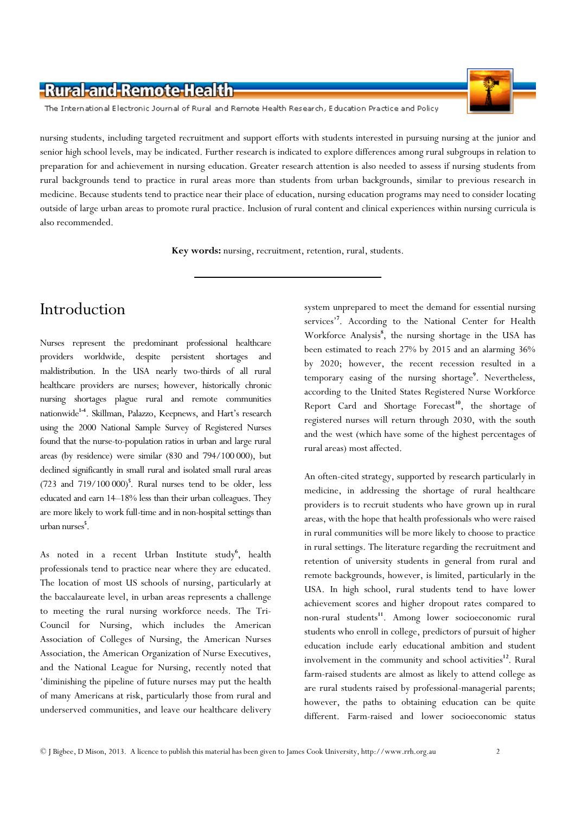

The International Electronic Journal of Rural and Remote Health Research, Education Practice and Policy

nursing students, including targeted recruitment and support efforts with students interested in pursuing nursing at the junior and senior high school levels, may be indicated. Further research is indicated to explore differences among rural subgroups in relation to preparation for and achievement in nursing education. Greater research attention is also needed to assess if nursing students from rural backgrounds tend to practice in rural areas more than students from urban backgrounds, similar to previous research in medicine. Because students tend to practice near their place of education, nursing education programs may need to consider locating outside of large urban areas to promote rural practice. Inclusion of rural content and clinical experiences within nursing curricula is also recommended.

Key words: nursing, recruitment, retention, rural, students.

## Introduction

Nurses represent the predominant professional healthcare providers worldwide, despite persistent shortages and maldistribution. In the USA nearly two-thirds of all rural healthcare providers are nurses; however, historically chronic nursing shortages plague rural and remote communities nationwide<sup>14</sup>. Skillman, Palazzo, Keepnews, and Hart's research using the 2000 National Sample Survey of Registered Nurses found that the nurse-to-population ratios in urban and large rural areas (by residence) were similar (830 and 794/100 000), but declined significantly in small rural and isolated small rural areas  $(723 \text{ and } 719/100000)^5$ . Rural nurses tend to be older, less educated and earn 14–18% less than their urban colleagues. They are more likely to work full-time and in non-hospital settings than urban nurses<sup>5</sup>.

As noted in a recent Urban Institute study<sup>6</sup>, health professionals tend to practice near where they are educated. The location of most US schools of nursing, particularly at the baccalaureate level, in urban areas represents a challenge to meeting the rural nursing workforce needs. The Tri-Council for Nursing, which includes the American Association of Colleges of Nursing, the American Nurses Association, the American Organization of Nurse Executives, and the National League for Nursing, recently noted that 'diminishing the pipeline of future nurses may put the health of many Americans at risk, particularly those from rural and underserved communities, and leave our healthcare delivery

system unprepared to meet the demand for essential nursing services'<sup>7</sup>. According to the National Center for Health Workforce Analysis<sup>8</sup>, the nursing shortage in the USA has been estimated to reach 27% by 2015 and an alarming 36% by 2020; however, the recent recession resulted in a temporary easing of the nursing shortage<sup>9</sup>. Nevertheless, according to the United States Registered Nurse Workforce Report Card and Shortage Forecast<sup>10</sup>, the shortage of registered nurses will return through 2030, with the south and the west (which have some of the highest percentages of rural areas) most affected.

An often-cited strategy, supported by research particularly in medicine, in addressing the shortage of rural healthcare providers is to recruit students who have grown up in rural areas, with the hope that health professionals who were raised in rural communities will be more likely to choose to practice in rural settings. The literature regarding the recruitment and retention of university students in general from rural and remote backgrounds, however, is limited, particularly in the USA. In high school, rural students tend to have lower achievement scores and higher dropout rates compared to non-rural students<sup>11</sup>. Among lower socioeconomic rural students who enroll in college, predictors of pursuit of higher education include early educational ambition and student involvement in the community and school activities<sup>12</sup>. Rural farm-raised students are almost as likely to attend college as are rural students raised by professional-managerial parents; however, the paths to obtaining education can be quite different. Farm-raised and lower socioeconomic status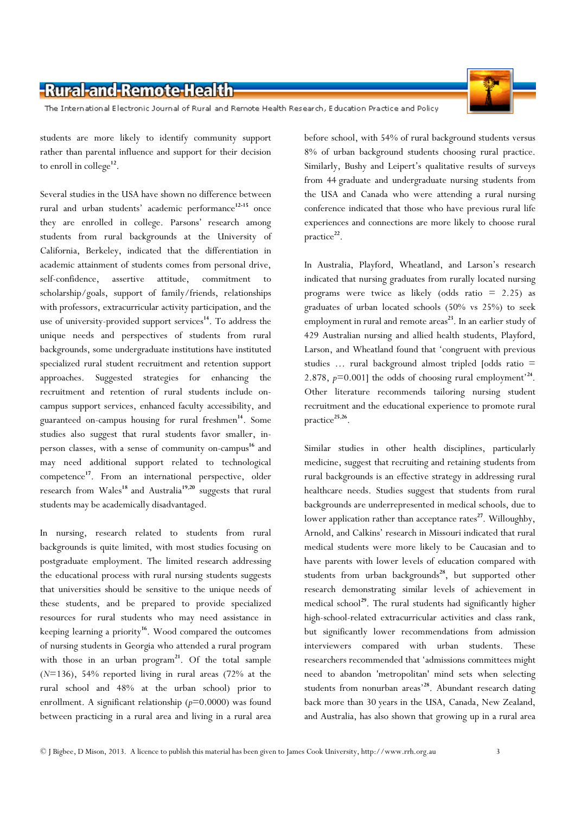The International Electronic Journal of Rural and Remote Health Research, Education Practice and Policy

students are more likely to identify community support rather than parental influence and support for their decision to enroll in college<sup>12</sup>.

Several studies in the USA have shown no difference between rural and urban students' academic performance<sup>12-15</sup> once they are enrolled in college. Parsons' research among students from rural backgrounds at the University of California, Berkeley, indicated that the differentiation in academic attainment of students comes from personal drive, self-confidence, assertive attitude, commitment to scholarship/goals, support of family/friends, relationships with professors, extracurricular activity participation, and the use of university-provided support services<sup>14</sup>. To address the unique needs and perspectives of students from rural backgrounds, some undergraduate institutions have instituted specialized rural student recruitment and retention support approaches. Suggested strategies for enhancing the recruitment and retention of rural students include oncampus support services, enhanced faculty accessibility, and guaranteed on-campus housing for rural freshmen<sup>14</sup>. Some studies also suggest that rural students favor smaller, inperson classes, with a sense of community on-campus<sup>16</sup> and may need additional support related to technological competence<sup>17</sup>. From an international perspective, older research from Wales<sup>18</sup> and Australia<sup>19,20</sup> suggests that rural students may be academically disadvantaged.

In nursing, research related to students from rural backgrounds is quite limited, with most studies focusing on postgraduate employment. The limited research addressing the educational process with rural nursing students suggests that universities should be sensitive to the unique needs of these students, and be prepared to provide specialized resources for rural students who may need assistance in keeping learning a priority<sup>16</sup>. Wood compared the outcomes of nursing students in Georgia who attended a rural program with those in an urban  $program^{21}$ . Of the total sample  $(N=136)$ , 54% reported living in rural areas (72% at the rural school and 48% at the urban school) prior to enrollment. A significant relationship  $(p=0.0000)$  was found between practicing in a rural area and living in a rural area

before school, with 54% of rural background students versus 8% of urban background students choosing rural practice. Similarly, Bushy and Leipert's qualitative results of surveys from 44 graduate and undergraduate nursing students from the USA and Canada who were attending a rural nursing conference indicated that those who have previous rural life experiences and connections are more likely to choose rural practice<sup>22</sup>.

In Australia, Playford, Wheatland, and Larson's research indicated that nursing graduates from rurally located nursing programs were twice as likely (odds ratio = 2.25) as graduates of urban located schools (50% vs 25%) to seek employment in rural and remote areas<sup>23</sup>. In an earlier study of 429 Australian nursing and allied health students, Playford, Larson, and Wheatland found that 'congruent with previous studies … rural background almost tripled [odds ratio = 2.878,  $p=0.001$ ] the odds of choosing rural employment<sup>24</sup>. Other literature recommends tailoring nursing student recruitment and the educational experience to promote rural practice<sup>25,26</sup>.

Similar studies in other health disciplines, particularly medicine, suggest that recruiting and retaining students from rural backgrounds is an effective strategy in addressing rural healthcare needs. Studies suggest that students from rural backgrounds are underrepresented in medical schools, due to lower application rather than acceptance rates<sup>27</sup>. Willoughby, Arnold, and Calkins' research in Missouri indicated that rural medical students were more likely to be Caucasian and to have parents with lower levels of education compared with students from urban backgrounds<sup>28</sup>, but supported other research demonstrating similar levels of achievement in medical school<sup>29</sup>. The rural students had significantly higher high-school-related extracurricular activities and class rank, but significantly lower recommendations from admission interviewers compared with urban students. These researchers recommended that 'admissions committees might need to abandon 'metropolitan' mind sets when selecting students from nonurban areas'<sup>28</sup>. Abundant research dating back more than 30 years in the USA, Canada, New Zealand, and Australia, has also shown that growing up in a rural area

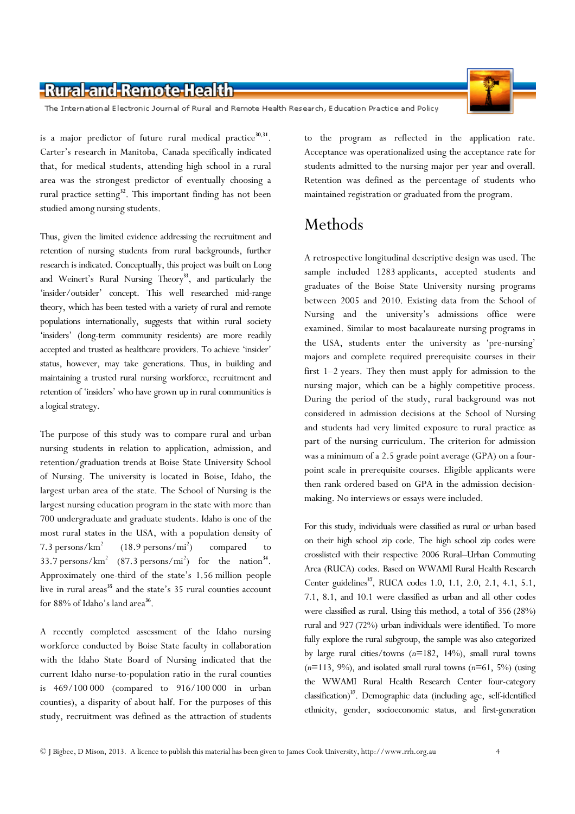The International Electronic Journal of Rural and Remote Health Research, Education Practice and Policy

is a major predictor of future rural medical practice<sup>30,31</sup>. Carter's research in Manitoba, Canada specifically indicated that, for medical students, attending high school in a rural area was the strongest predictor of eventually choosing a rural practice setting<sup>32</sup>. This important finding has not been studied among nursing students.

Thus, given the limited evidence addressing the recruitment and retention of nursing students from rural backgrounds, further research is indicated. Conceptually, this project was built on Long and Weinert's Rural Nursing Theory<sup>33</sup>, and particularly the 'insider/outsider' concept. This well researched mid-range theory, which has been tested with a variety of rural and remote populations internationally, suggests that within rural society 'insiders' (long-term community residents) are more readily accepted and trusted as healthcare providers. To achieve 'insider' status, however, may take generations. Thus, in building and maintaining a trusted rural nursing workforce, recruitment and retention of 'insiders' who have grown up in rural communities is a logical strategy.

The purpose of this study was to compare rural and urban nursing students in relation to application, admission, and retention/graduation trends at Boise State University School of Nursing. The university is located in Boise, Idaho, the largest urban area of the state. The School of Nursing is the largest nursing education program in the state with more than 700 undergraduate and graduate students. Idaho is one of the most rural states in the USA, with a population density of 7.3 persons/ $km<sup>2</sup>$  $(18.9 \,\text{persons}/\text{mi}^2)$ compared to 33.7 persons/ $km^2$  (87.3 persons/ $mi^2$ ) for the nation<sup>34</sup>. Approximately one-third of the state's 1.56 million people live in rural areas<sup>35</sup> and the state's 35 rural counties account for  $88\%$  of Idaho's land area<sup>36</sup>.

A recently completed assessment of the Idaho nursing workforce conducted by Boise State faculty in collaboration with the Idaho State Board of Nursing indicated that the current Idaho nurse-to-population ratio in the rural counties is 469/100 000 (compared to 916/100 000 in urban counties), a disparity of about half. For the purposes of this study, recruitment was defined as the attraction of students

to the program as reflected in the application rate. Acceptance was operationalized using the acceptance rate for students admitted to the nursing major per year and overall. Retention was defined as the percentage of students who maintained registration or graduated from the program.

## Methods

A retrospective longitudinal descriptive design was used. The sample included 1283 applicants, accepted students and graduates of the Boise State University nursing programs between 2005 and 2010. Existing data from the School of Nursing and the university's admissions office were examined. Similar to most bacalaureate nursing programs in the USA, students enter the university as 'pre-nursing' majors and complete required prerequisite courses in their first 1–2 years. They then must apply for admission to the nursing major, which can be a highly competitive process. During the period of the study, rural background was not considered in admission decisions at the School of Nursing and students had very limited exposure to rural practice as part of the nursing curriculum. The criterion for admission was a minimum of a 2.5 grade point average (GPA) on a fourpoint scale in prerequisite courses. Eligible applicants were then rank ordered based on GPA in the admission decisionmaking. No interviews or essays were included.

For this study, individuals were classified as rural or urban based on their high school zip code. The high school zip codes were crosslisted with their respective 2006 Rural–Urban Commuting Area (RUCA) codes. Based on WWAMI Rural Health Research Center guidelines<sup>37</sup>, RUCA codes 1.0, 1.1, 2.0, 2.1, 4.1, 5.1, 7.1, 8.1, and 10.1 were classified as urban and all other codes were classified as rural. Using this method, a total of 356 (28%) rural and 927 (72%) urban individuals were identified. To more fully explore the rural subgroup, the sample was also categorized by large rural cities/towns  $(n=182, 14\%)$ , small rural towns  $(n=113, 9\%)$ , and isolated small rural towns  $(n=61, 5\%)$  (using the WWAMI Rural Health Research Center four-category classification)<sup>37</sup>. Demographic data (including age, self-identified ethnicity, gender, socioeconomic status, and first-generation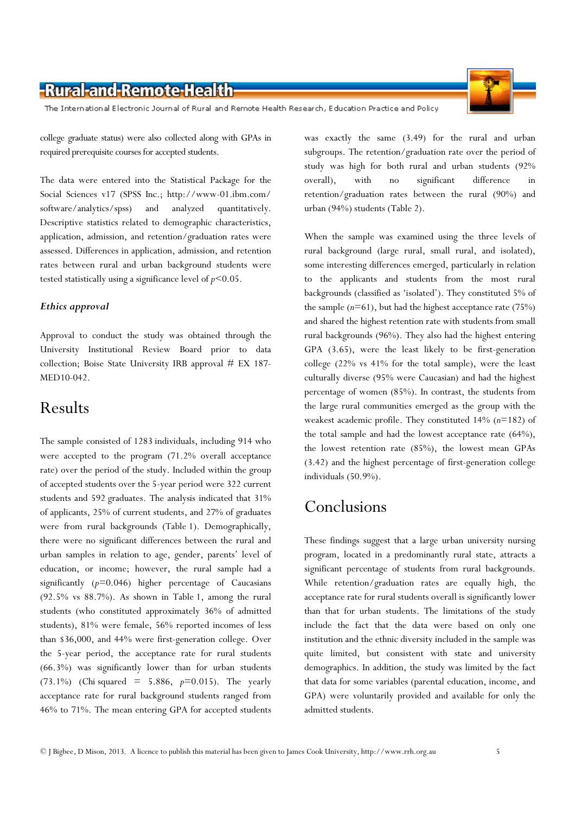The International Electronic Journal of Rural and Remote Health Research, Education Practice and Policy

college graduate status) were also collected along with GPAs in required prerequisite courses for accepted students.

The data were entered into the Statistical Package for the Social Sciences v17 (SPSS Inc.; http://www-01.ibm.com/ software/analytics/spss) and analyzed quantitatively. Descriptive statistics related to demographic characteristics, application, admission, and retention/graduation rates were assessed. Differences in application, admission, and retention rates between rural and urban background students were tested statistically using a significance level of  $p$ <0.05.

#### Ethics approval

Approval to conduct the study was obtained through the University Institutional Review Board prior to data collection; Boise State University IRB approval # EX 187- MED10-042.

#### Results

The sample consisted of 1283 individuals, including 914 who were accepted to the program (71.2% overall acceptance rate) over the period of the study. Included within the group of accepted students over the 5-year period were 322 current students and 592 graduates. The analysis indicated that 31% of applicants, 25% of current students, and 27% of graduates were from rural backgrounds (Table 1). Demographically, there were no significant differences between the rural and urban samples in relation to age, gender, parents' level of education, or income; however, the rural sample had a significantly  $(p=0.046)$  higher percentage of Caucasians (92.5% vs 88.7%). As shown in Table 1, among the rural students (who constituted approximately 36% of admitted students), 81% were female, 56% reported incomes of less than \$36,000, and 44% were first-generation college. Over the 5-year period, the acceptance rate for rural students (66.3%) was significantly lower than for urban students (73.1%) (Chi squared = 5.886,  $p=0.015$ ). The yearly acceptance rate for rural background students ranged from 46% to 71%. The mean entering GPA for accepted students

was exactly the same (3.49) for the rural and urban subgroups. The retention/graduation rate over the period of study was high for both rural and urban students (92% overall), with no significant difference in retention/graduation rates between the rural (90%) and urban (94%) students (Table 2).

When the sample was examined using the three levels of rural background (large rural, small rural, and isolated), some interesting differences emerged, particularly in relation to the applicants and students from the most rural backgrounds (classified as 'isolated'). They constituted 5% of the sample  $(n=61)$ , but had the highest acceptance rate (75%) and shared the highest retention rate with students from small rural backgrounds (96%). They also had the highest entering GPA (3.65), were the least likely to be first-generation college (22% vs 41% for the total sample), were the least culturally diverse (95% were Caucasian) and had the highest percentage of women (85%). In contrast, the students from the large rural communities emerged as the group with the weakest academic profile. They constituted  $14\%$  ( $n=182$ ) of the total sample and had the lowest acceptance rate (64%), the lowest retention rate (85%), the lowest mean GPAs (3.42) and the highest percentage of first-generation college individuals (50.9%).

### Conclusions

These findings suggest that a large urban university nursing program, located in a predominantly rural state, attracts a significant percentage of students from rural backgrounds. While retention/graduation rates are equally high, the acceptance rate for rural students overall is significantly lower than that for urban students. The limitations of the study include the fact that the data were based on only one institution and the ethnic diversity included in the sample was quite limited, but consistent with state and university demographics. In addition, the study was limited by the fact that data for some variables (parental education, income, and GPA) were voluntarily provided and available for only the admitted students.



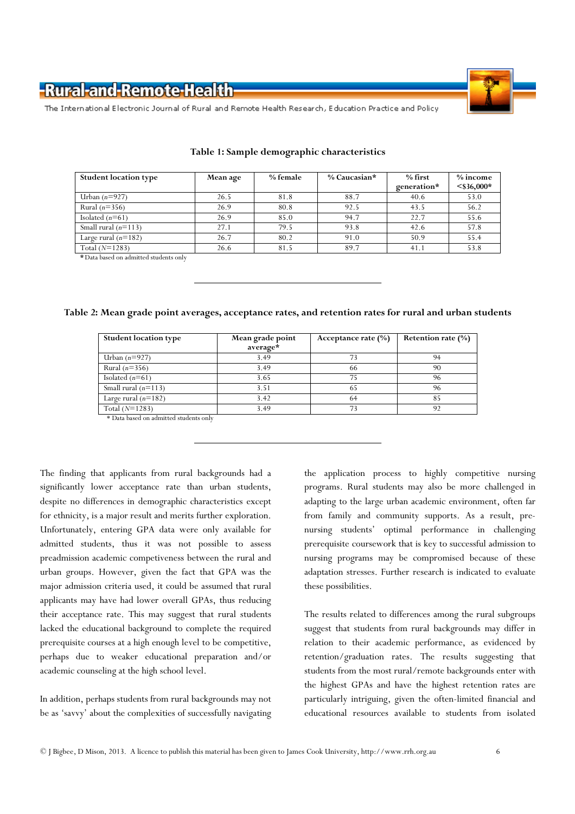

The International Electronic Journal of Rural and Remote Health Research, Education Practice and Policy

| <b>Student location type</b> | <b>Mean age</b> | % female | $\%$ Caucasian* | $%$ first   | $%$ income    |
|------------------------------|-----------------|----------|-----------------|-------------|---------------|
|                              |                 |          |                 | generation* | $<$ \$36,000* |
| Urban $(n=927)$              | 26.5            | 81.8     | 88.7            | 40.6        | 53.0          |
| Rural $(n=356)$              | 26.9            | 80.8     | 92.5            | 43.5        | 56.2          |
| Isolated $(n=61)$            | 26.9            | 85.0     | 94.7            | 22.7        | 55.6          |
| Small rural $(n=113)$        | 27.1            | 79.5     | 93.8            | 42.6        | 57.8          |
| Large rural $(n=182)$        | 26.7            | 80.2     | 91.0            | 50.9        | 55.4          |
| Total $(N=1283)$             | 26.6            | 81.5     | 89.7            | 41.1        | 53.8          |
|                              |                 |          |                 |             |               |

#### Table 1: Sample demographic characteristics

\*Data based on admitted students only

#### Table 2: Mean grade point averages, acceptance rates, and retention rates for rural and urban students

| <b>Student location type</b> | Mean grade point | Acceptance rate $(\%)$ | Retention rate (%) |  |
|------------------------------|------------------|------------------------|--------------------|--|
|                              | average*         |                        |                    |  |
| Urban $(n=927)$              | 3.49             | 73                     | 94                 |  |
| Rural $(n=356)$              | 3.49             | 66                     | 90                 |  |
| Isolated $(n=61)$            | 3.65             | 75                     | 96                 |  |
| Small rural $(n=113)$        | 3.51             | 65                     | 96                 |  |
| Large rural $(n=182)$        | 3.42             | 64                     | 85                 |  |
| Total $(N=1283)$             | 3.49             | 73                     | 92                 |  |

\* Data based on admitted students only

The finding that applicants from rural backgrounds had a significantly lower acceptance rate than urban students, despite no differences in demographic characteristics except for ethnicity, is a major result and merits further exploration. Unfortunately, entering GPA data were only available for admitted students, thus it was not possible to assess preadmission academic competiveness between the rural and urban groups. However, given the fact that GPA was the major admission criteria used, it could be assumed that rural applicants may have had lower overall GPAs, thus reducing their acceptance rate. This may suggest that rural students lacked the educational background to complete the required prerequisite courses at a high enough level to be competitive, perhaps due to weaker educational preparation and/or academic counseling at the high school level.

In addition, perhaps students from rural backgrounds may not be as 'savvy' about the complexities of successfully navigating

the application process to highly competitive nursing programs. Rural students may also be more challenged in adapting to the large urban academic environment, often far from family and community supports. As a result, prenursing students' optimal performance in challenging prerequisite coursework that is key to successful admission to nursing programs may be compromised because of these adaptation stresses. Further research is indicated to evaluate these possibilities.

The results related to differences among the rural subgroups suggest that students from rural backgrounds may differ in relation to their academic performance, as evidenced by retention/graduation rates. The results suggesting that students from the most rural/remote backgrounds enter with the highest GPAs and have the highest retention rates are particularly intriguing, given the often-limited financial and educational resources available to students from isolated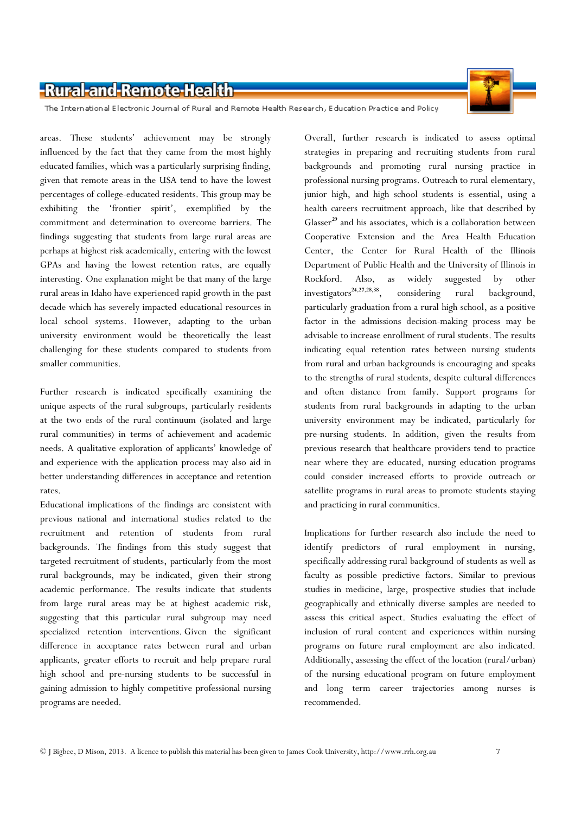

The International Electronic Journal of Rural and Remote Health Research, Education Practice and Policy

areas. These students' achievement may be strongly influenced by the fact that they came from the most highly educated families, which was a particularly surprising finding, given that remote areas in the USA tend to have the lowest percentages of college-educated residents. This group may be exhibiting the 'frontier spirit', exemplified by the commitment and determination to overcome barriers. The findings suggesting that students from large rural areas are perhaps at highest risk academically, entering with the lowest GPAs and having the lowest retention rates, are equally interesting. One explanation might be that many of the large rural areas in Idaho have experienced rapid growth in the past decade which has severely impacted educational resources in local school systems. However, adapting to the urban university environment would be theoretically the least challenging for these students compared to students from smaller communities.

Further research is indicated specifically examining the unique aspects of the rural subgroups, particularly residents at the two ends of the rural continuum (isolated and large rural communities) in terms of achievement and academic needs. A qualitative exploration of applicants' knowledge of and experience with the application process may also aid in better understanding differences in acceptance and retention rates.

Educational implications of the findings are consistent with previous national and international studies related to the recruitment and retention of students from rural backgrounds. The findings from this study suggest that targeted recruitment of students, particularly from the most rural backgrounds, may be indicated, given their strong academic performance. The results indicate that students from large rural areas may be at highest academic risk, suggesting that this particular rural subgroup may need specialized retention interventions. Given the significant difference in acceptance rates between rural and urban applicants, greater efforts to recruit and help prepare rural high school and pre-nursing students to be successful in gaining admission to highly competitive professional nursing programs are needed.

Overall, further research is indicated to assess optimal strategies in preparing and recruiting students from rural backgrounds and promoting rural nursing practice in professional nursing programs. Outreach to rural elementary, junior high, and high school students is essential, using a health careers recruitment approach, like that described by Glasser<sup>29</sup> and his associates, which is a collaboration between Cooperative Extension and the Area Health Education Center, the Center for Rural Health of the Illinois Department of Public Health and the University of Illinois in Rockford. Also, as widely suggested by other investigators<sup>24,27,28,38</sup>, considering rural background, particularly graduation from a rural high school, as a positive factor in the admissions decision-making process may be advisable to increase enrollment of rural students. The results indicating equal retention rates between nursing students from rural and urban backgrounds is encouraging and speaks to the strengths of rural students, despite cultural differences and often distance from family. Support programs for students from rural backgrounds in adapting to the urban university environment may be indicated, particularly for pre-nursing students. In addition, given the results from previous research that healthcare providers tend to practice near where they are educated, nursing education programs could consider increased efforts to provide outreach or satellite programs in rural areas to promote students staying and practicing in rural communities.

Implications for further research also include the need to identify predictors of rural employment in nursing, specifically addressing rural background of students as well as faculty as possible predictive factors. Similar to previous studies in medicine, large, prospective studies that include geographically and ethnically diverse samples are needed to assess this critical aspect. Studies evaluating the effect of inclusion of rural content and experiences within nursing programs on future rural employment are also indicated. Additionally, assessing the effect of the location (rural/urban) of the nursing educational program on future employment and long term career trajectories among nurses is recommended.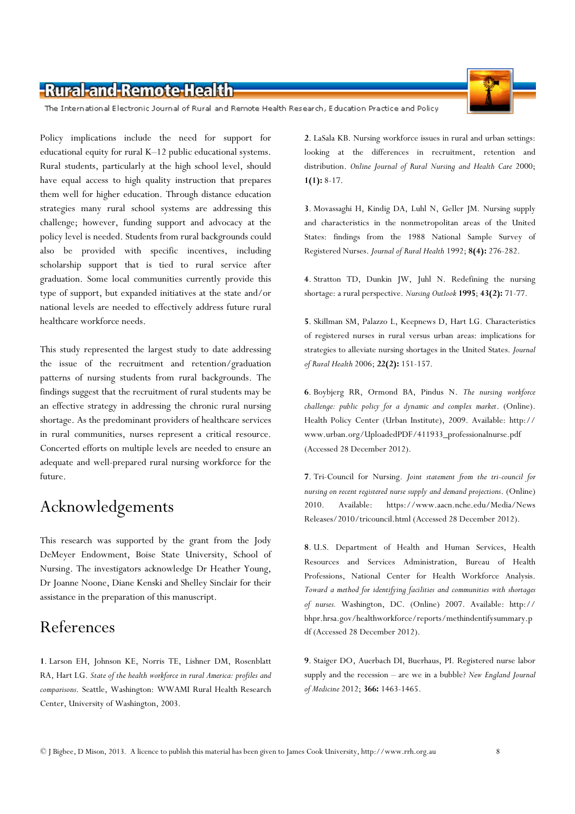The International Electronic Journal of Rural and Remote Health Research, Education Practice and Policy

Policy implications include the need for support for educational equity for rural K–12 public educational systems. Rural students, particularly at the high school level, should have equal access to high quality instruction that prepares them well for higher education. Through distance education strategies many rural school systems are addressing this challenge; however, funding support and advocacy at the policy level is needed. Students from rural backgrounds could also be provided with specific incentives, including scholarship support that is tied to rural service after graduation. Some local communities currently provide this type of support, but expanded initiatives at the state and/or national levels are needed to effectively address future rural healthcare workforce needs.

This study represented the largest study to date addressing the issue of the recruitment and retention/graduation patterns of nursing students from rural backgrounds. The findings suggest that the recruitment of rural students may be an effective strategy in addressing the chronic rural nursing shortage. As the predominant providers of healthcare services in rural communities, nurses represent a critical resource. Concerted efforts on multiple levels are needed to ensure an adequate and well-prepared rural nursing workforce for the future.

## Acknowledgements

This research was supported by the grant from the Jody DeMeyer Endowment, Boise State University, School of Nursing. The investigators acknowledge Dr Heather Young, Dr Joanne Noone, Diane Kenski and Shelley Sinclair for their assistance in the preparation of this manuscript.

### References

1. Larson EH, Johnson KE, Norris TE, Lishner DM, Rosenblatt RA, Hart LG. State of the health workforce in rural America: profiles and comparisons. Seattle, Washington: WWAMI Rural Health Research Center, University of Washington, 2003.

2. LaSala KB. Nursing workforce issues in rural and urban settings: looking at the differences in recruitment, retention and distribution. Online Journal of Rural Nursing and Health Care 2000;  $1(1): 8-17.$ 

3. Movassaghi H, Kindig DA, Luhl N, Geller JM. Nursing supply and characteristics in the nonmetropolitan areas of the United States: findings from the 1988 National Sample Survey of Registered Nurses. Journal of Rural Health 1992; 8(4): 276-282.

4. Stratton TD, Dunkin JW, Juhl N. Redefining the nursing shortage: a rural perspective. Nursing Outlook 1995; 43(2): 71-77.

5. Skillman SM, Palazzo L, Keepnews D, Hart LG. Characteristics of registered nurses in rural versus urban areas: implications for strategies to alleviate nursing shortages in the United States. Journal of Rural Health 2006; 22(2): 151-157.

6. Boybjerg RR, Ormond BA, Pindus N. The nursing workforce challenge: public policy for a dynamic and complex market. (Online). Health Policy Center (Urban Institute), 2009. Available: http:// www.urban.org/UploadedPDF/411933\_professionalnurse.pdf (Accessed 28 December 2012).

7. Tri-Council for Nursing. Joint statement from the tri-council for nursing on recent registered nurse supply and demand projections. (Online) 2010. Available: https://www.aacn.nche.edu/Media/News Releases/2010/tricouncil.html (Accessed 28 December 2012).

8. U.S. Department of Health and Human Services, Health Resources and Services Administration, Bureau of Health Professions, National Center for Health Workforce Analysis. Toward a method for identifying facilities and communities with shortages of nurses. Washington, DC. (Online) 2007. Available: http:// bhpr.hrsa.gov/healthworkforce/reports/methindentifysummary.p df (Accessed 28 December 2012).

9. Staiger DO, Auerbach DI, Buerhaus, PI. Registered nurse labor supply and the recession  $-$  are we in a bubble? New England Journal of Medicine 2012; 366: 1463-1465.

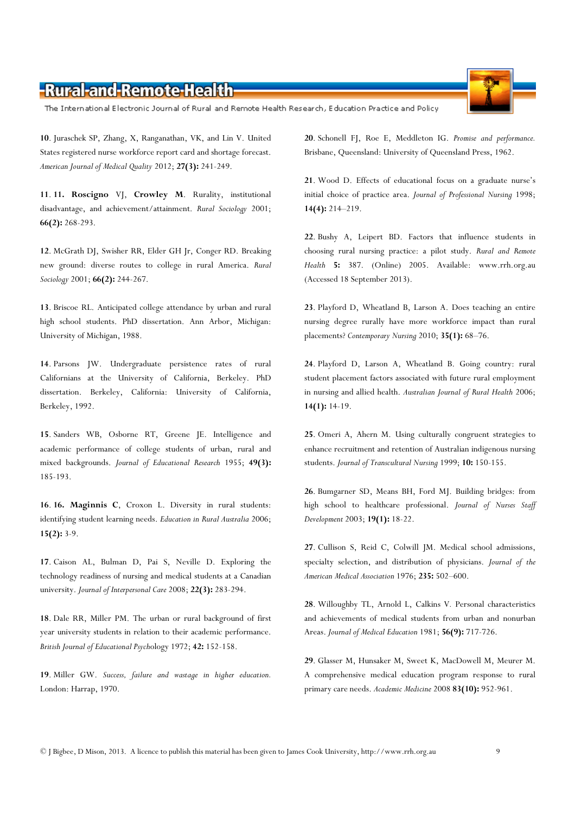The International Electronic Journal of Rural and Remote Health Research, Education Practice and Policy

10. Juraschek SP, Zhang, X, Ranganathan, VK, and Lin V. United States registered nurse workforce report card and shortage forecast. American Journal of Medical Quality 2012; 27(3): 241-249.

11. 11. Roscigno VJ, Crowley M. Rurality, institutional disadvantage, and achievement/attainment. Rural Sociology 2001; 66(2): 268-293.

12. McGrath DJ, Swisher RR, Elder GH Jr, Conger RD. Breaking new ground: diverse routes to college in rural America. Rural Sociology 2001; 66(2): 244-267.

13. Briscoe RL. Anticipated college attendance by urban and rural high school students. PhD dissertation. Ann Arbor, Michigan: University of Michigan, 1988.

14. Parsons JW. Undergraduate persistence rates of rural Californians at the University of California, Berkeley. PhD dissertation. Berkeley, California: University of California, Berkeley, 1992.

15. Sanders WB, Osborne RT, Greene JE. Intelligence and academic performance of college students of urban, rural and mixed backgrounds. Journal of Educational Research 1955; 49(3): 185-193.

16. 16. Maginnis C, Croxon L. Diversity in rural students: identifying student learning needs. Education in Rural Australia 2006; 15(2): 3-9.

17. Caison AL, Bulman D, Pai S, Neville D. Exploring the technology readiness of nursing and medical students at a Canadian university. Journal of Interpersonal Care 2008; 22(3): 283-294.

18. Dale RR, Miller PM. The urban or rural background of first year university students in relation to their academic performance. British Journal of Educational Psychology 1972; 42: 152-158.

19. Miller GW. Success, failure and wastage in higher education. London: Harrap, 1970.

20. Schonell FJ, Roe E, Meddleton IG. Promise and performance. Brisbane, Queensland: University of Queensland Press, 1962.

21. Wood D. Effects of educational focus on a graduate nurse's initial choice of practice area. Journal of Professional Nursing 1998; 14(4): 214–219.

22. Bushy A, Leipert BD. Factors that influence students in choosing rural nursing practice: a pilot study. Rural and Remote Health 5: 387. (Online) 2005. Available: www.rrh.org.au (Accessed 18 September 2013).

23. Playford D, Wheatland B, Larson A. Does teaching an entire nursing degree rurally have more workforce impact than rural placements? Contemporary Nursing 2010; 35(1): 68-76.

24. Playford D, Larson A, Wheatland B. Going country: rural student placement factors associated with future rural employment in nursing and allied health. Australian Journal of Rural Health 2006; 14(1): 14-19.

25. Omeri A, Ahern M. Using culturally congruent strategies to enhance recruitment and retention of Australian indigenous nursing students. Journal of Transcultural Nursing 1999; 10: 150-155.

26. Bumgarner SD, Means BH, Ford MJ. Building bridges: from high school to healthcare professional. Journal of Nurses Staff Development 2003; 19(1): 18-22.

27. Cullison S, Reid C, Colwill JM. Medical school admissions, specialty selection, and distribution of physicians. Journal of the American Medical Association 1976; 235: 502–600.

28. Willoughby TL, Arnold L, Calkins V. Personal characteristics and achievements of medical students from urban and nonurban Areas. Journal of Medical Education 1981; 56(9): 717-726.

29. Glasser M, Hunsaker M, Sweet K, MacDowell M, Meurer M. A comprehensive medical education program response to rural primary care needs. Academic Medicine 2008 83(10): 952-961.